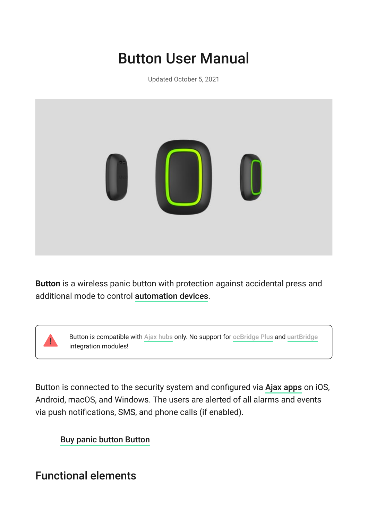# Button User Manual

Updated October 5, 2021



**Button** is a wireless panic button with protection against accidental press and additional mode to control automation devices.

Buttonis compatible with Ajax hubs only. No support for ocBridge Plus and [uartBridge](https://ajax.systems/products/uartbridge/) integration modules!

Buttonis connected to the security system and configured via Ajax apps on iOS, Android, macOS, and Windows. The users are alerted of all alarms and events via push notifications, SMS, and phone calls (if enabled).

[Buy panic button Button](https://ajax.systems/products/button/)

# Functional elements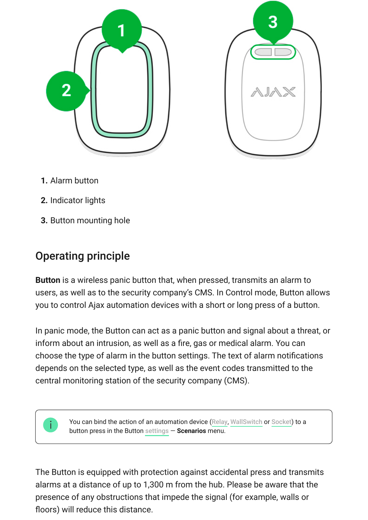

- **1.** Alarm button
- **2.** Indicator lights
- **3.** Button mounting hole

# Operating principle

**Button** is a wireless panic button that, when pressed, transmits an alarm to users, as well as to the security company's CMS. In Control mode, Button allows you to control Ajax automation devices with a short or long press of a button.

In panic mode, the Button can act as a panic button and signal about a threat, or inform about an intrusion, as well as a fire, gas or medical alarm. You can choose the type of alarm in the button settings. The text of alarm notifications depends on the selected type, as well as the event codes transmitted to the central monitoring station of the security company (CMS).

> You can bind the action of an automation device (Relay, WallSwitch or Socket[\)](https://ajax.systems/products/socket/) to a buttonpress in the Button settings - Scenarios menu.

The Button is equipped with protection against accidental press and transmits alarms at a distance of up to 1,300 m from the hub. Please be aware that the presence of any obstructions that impede the signal (for example, walls or floors) will reduce this distance.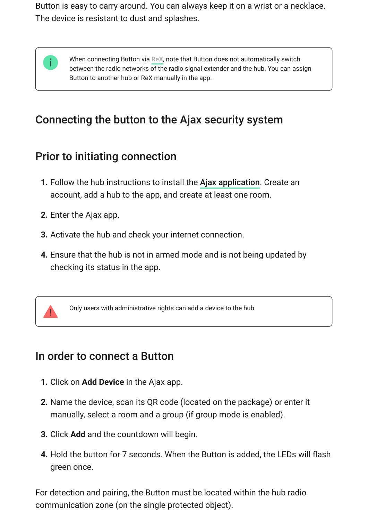Button is easy to carry around. You can always keep it on a wrist or a necklace. The device is resistant to dust and splashes.



When connecting Button via  ${\sf ReX}$ , note that Button does not automatically switch between the radio networks of the radio signal extender and the hub. You can assign Button to another hub or ReX manually in the app.

# Connecting the button to the Ajax security system

# Prior to initiating connection

- **1.**Follow the hub instructions to install the Ajax application. Create an account, add a hub to the app, and create at least one room.
- **2.** Enter the Ajax app.
- **3.** Activate the hub and check your internet connection.
- **4.** Ensure that the hub is not in armed mode and is not being updated by checking its status in the app.



Only users with administrative rights can add a device to the hub

### In order to connect a Button

- **1.** Click on **Add Device** in the Ajax app.
- **2.** Name the device, scan its QR code (located on the package) or enter it manually, select a room and a group (if group mode is enabled).
- **3.** Click **Add** and the countdown will begin.
- **4.** Hold the button for 7 seconds. When the Button is added, the LEDs will flash green once.

For detection and pairing, the Button must be located within the hub radio communication zone (on the single protected object).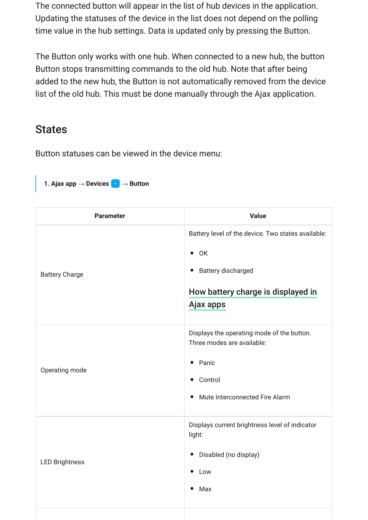The connected button will appear in the list of hub devices in the application. Updating the statuses of the device in the list does not depend on the polling time value in the hub settings. Data is updated only by pressing the Button.

The Button only works with one hub. When connected to a new hub, the button Button stops transmitting commands to the old hub. Note that after being added to the new hub, the Button is not automatically removed from the device list of the old hub. This must be done manually through the Ajax application.

#### **States**

Button statuses can be viewed in the device menu:

#### **1. Ajax app** → **Devices** → **Button**

| <b>Parameter</b>      | <b>Value</b>                                                                                                                                               |
|-----------------------|------------------------------------------------------------------------------------------------------------------------------------------------------------|
| <b>Battery Charge</b> | Battery level of the device. Two states available:<br>$\bullet$ OK<br>• Battery discharged<br>How battery charge is displayed in<br>Ajax apps              |
| Operating mode        | Displays the operating mode of the button.<br>Three modes are available:<br>• Panic<br>Control<br>$\bullet$<br>Mute Interconnected Fire Alarm<br>$\bullet$ |
| <b>LED Brightness</b> | Displays current brightness level of indicator<br>light:<br>• Disabled (no display)<br>$\bullet$ Low<br>Max                                                |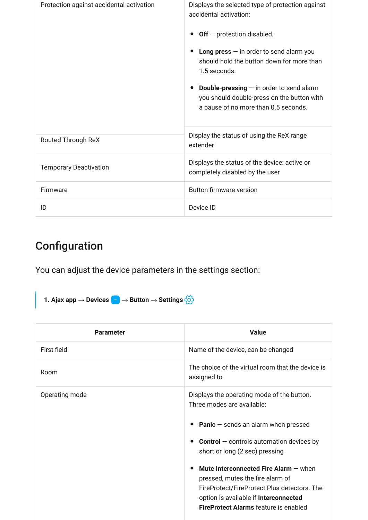| Protection against accidental activation | Displays the selected type of protection against<br>accidental activation:                                                              |
|------------------------------------------|-----------------------------------------------------------------------------------------------------------------------------------------|
|                                          | $Off$ – protection disabled.                                                                                                            |
|                                          | Long press $-$ in order to send alarm you<br>should hold the button down for more than<br>1.5 seconds.                                  |
|                                          | <b>Double-pressing</b> $-$ in order to send alarm<br>you should double-press on the button with<br>a pause of no more than 0.5 seconds. |
| Routed Through ReX                       | Display the status of using the ReX range<br>extender                                                                                   |
| <b>Temporary Deactivation</b>            | Displays the status of the device: active or<br>completely disabled by the user                                                         |
| Firmware                                 | <b>Button firmware version</b>                                                                                                          |
| ID                                       | Device ID                                                                                                                               |

# Configuration

You can adjust the device parameters in the settings section:

**1. Ajax app** → **Devices**  $\overline{\phantom{a}}$  → **Button** → **Settings**  $\overleftrightarrow{\odot}$ 

| <b>Parameter</b> | <b>Value</b>                                                                                                                                                                     |
|------------------|----------------------------------------------------------------------------------------------------------------------------------------------------------------------------------|
| First field      | Name of the device, can be changed                                                                                                                                               |
| Room             | The choice of the virtual room that the device is<br>assigned to                                                                                                                 |
| Operating mode   | Displays the operating mode of the button.<br>Three modes are available:                                                                                                         |
|                  | • Panic $-$ sends an alarm when pressed                                                                                                                                          |
|                  | <b>Control</b> $-$ controls automation devices by<br>short or long (2 sec) pressing                                                                                              |
|                  | Mute Interconnected Fire Alarm $-$ when<br>$\bullet$<br>pressed, mutes the fire alarm of<br>FireProtect/FireProtect Plus detectors. The<br>option is available if Interconnected |
|                  | <b>FireProtect Alarms feature is enabled</b>                                                                                                                                     |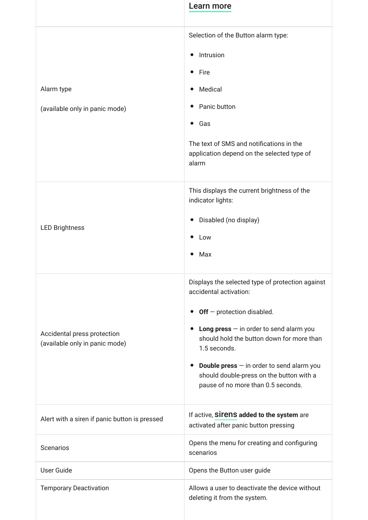|                                                               | Learn more                                                                                                                                                                                                                                                                                                                                                                             |
|---------------------------------------------------------------|----------------------------------------------------------------------------------------------------------------------------------------------------------------------------------------------------------------------------------------------------------------------------------------------------------------------------------------------------------------------------------------|
| Alarm type<br>(available only in panic mode)                  | Selection of the Button alarm type:<br>Intrusion<br>$\bullet$<br>Fire<br>$\bullet$<br>Medical<br>$\bullet$<br>Panic button<br>$\bullet$<br>Gas<br>$\bullet$<br>The text of SMS and notifications in the<br>application depend on the selected type of<br>alarm                                                                                                                         |
| <b>LED Brightness</b>                                         | This displays the current brightness of the<br>indicator lights:<br>Disabled (no display)<br>$\bullet$<br>Low<br>$\bullet$<br>Max<br>$\bullet$                                                                                                                                                                                                                                         |
| Accidental press protection<br>(available only in panic mode) | Displays the selected type of protection against<br>accidental activation:<br>• Off - protection disabled.<br>Long press $-$ in order to send alarm you<br>$\bullet$<br>should hold the button down for more than<br>1.5 seconds.<br><b>Double press</b> $-$ in order to send alarm you<br>$\bullet$<br>should double-press on the button with a<br>pause of no more than 0.5 seconds. |
| Alert with a siren if panic button is pressed                 | If active, <b>Sirens added to the system</b> are<br>activated after panic button pressing                                                                                                                                                                                                                                                                                              |
| Scenarios                                                     | Opens the menu for creating and configuring<br>scenarios                                                                                                                                                                                                                                                                                                                               |
| <b>User Guide</b>                                             | Opens the Button user guide                                                                                                                                                                                                                                                                                                                                                            |
| <b>Temporary Deactivation</b>                                 | Allows a user to deactivate the device without<br>deleting it from the system.                                                                                                                                                                                                                                                                                                         |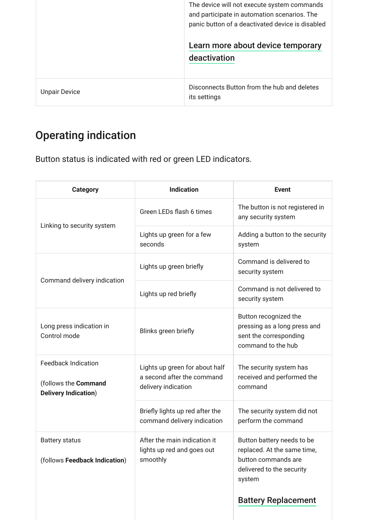|                      | The device will not execute system commands<br>and participate in automation scenarios. The<br>panic button of a deactivated device is disabled |
|----------------------|-------------------------------------------------------------------------------------------------------------------------------------------------|
|                      | Learn more about device temporary                                                                                                               |
|                      | deactivation                                                                                                                                    |
|                      |                                                                                                                                                 |
| <b>Unpair Device</b> | Disconnects Button from the hub and deletes<br>its settings                                                                                     |

# Operating indication

Button status is indicated with red or green LED indicators.

| <b>Category</b>                                                                   | <b>Indication</b>                                                                   | <b>Event</b>                                                                                                                                          |
|-----------------------------------------------------------------------------------|-------------------------------------------------------------------------------------|-------------------------------------------------------------------------------------------------------------------------------------------------------|
|                                                                                   | Green LEDs flash 6 times                                                            | The button is not registered in<br>any security system                                                                                                |
| Linking to security system                                                        | Lights up green for a few<br>seconds                                                | Adding a button to the security<br>system                                                                                                             |
|                                                                                   | Lights up green briefly                                                             | Command is delivered to<br>security system                                                                                                            |
| Command delivery indication                                                       | Lights up red briefly                                                               | Command is not delivered to<br>security system                                                                                                        |
| Long press indication in<br>Control mode                                          | Blinks green briefly                                                                | Button recognized the<br>pressing as a long press and<br>sent the corresponding<br>command to the hub                                                 |
| <b>Feedback Indication</b><br>(follows the Command<br><b>Delivery Indication)</b> | Lights up green for about half<br>a second after the command<br>delivery indication | The security system has<br>received and performed the<br>command                                                                                      |
|                                                                                   | Briefly lights up red after the<br>command delivery indication                      | The security system did not<br>perform the command                                                                                                    |
| <b>Battery status</b><br>(follows Feedback Indication)                            | After the main indication it<br>lights up red and goes out<br>smoothly              | Button battery needs to be<br>replaced. At the same time,<br>button commands are<br>delivered to the security<br>system<br><b>Battery Replacement</b> |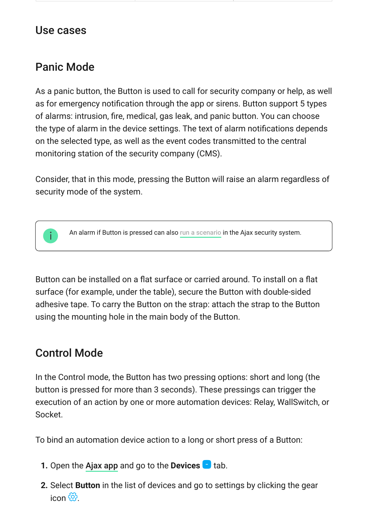### Use cases

### Panic Mode

As a panic button, the Button is used to call for security company or help, as well as for emergency notification through the app or sirens. Button support 5 types of alarms: intrusion, fire, medical, gas leak, and panic button. You can choose the type of alarm in the device settings. The text of alarm notifications depends on the selected type, as well as the event codes transmitted to the central monitoring station of the security company (CMS).

Consider, that in this mode, pressing the Button will raise an alarm regardless of security mode of the system.



Analarm if Button is pressed can also run a scenario in the Ajax security system.

Button can be installed on a flat surface or carried around. To install on a flat surface (for example, under the table), secure the Button with double-sided adhesive tape. To carry the Button on the strap: attach the strap to the Button using the mounting hole in the main body of the Button.

### <span id="page-7-0"></span>Control Mode

In the Control mode, the Button has two pressing options: short and long (the button is pressed for more than 3 seconds). These pressings can trigger the execution of an action by one or more automation devices: Relay, WallSwitch, or Socket.

To bind an automation device action to a long or short press of a Button:

- **1.** Open the [Ajax app](https://ajax.systems/software/) and go to the **Devices the** tab.
- **2.** Select **Button** in the list of devices and go to settings by clicking the gear  $icon$   $\widetilde{\mathcal{P}}$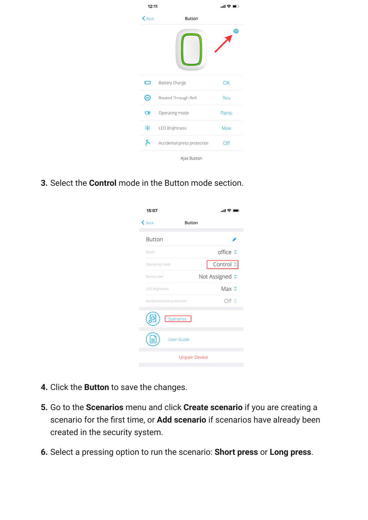| 12:11    |                             | ! 오 ! |
|----------|-----------------------------|-------|
| $&$ Back | <b>Button</b>               |       |
|          |                             | ø     |
| o        | <b>Battery Charge</b>       | OK    |
| ⊛        | Routed Through ReX          | Yes   |
| ⊙        | Operating mode              | Panic |
| 崇        | LED Brightness              | Max   |
| ß        | Accidental press protection | Off   |
|          | Ajax Button                 |       |

**3.** Select the **Control** mode in the Button mode section.

| 15:07                                    | .ா! ⇔                |
|------------------------------------------|----------------------|
| $\mathbf{\langle}$ Back<br><b>Button</b> |                      |
| Button                                   |                      |
| Room                                     | office ≎             |
| Operating mode                           | Control :            |
| Device user                              | Not Assigned C       |
| <b>LED Brightness</b>                    | Max ≎                |
| Accidental press protection              | Off ¢                |
| Scenarios                                |                      |
| <b>User Guide</b>                        |                      |
|                                          | <b>Unpair Device</b> |

- **4.** Click the **Button** to save the changes.
- **5.** Go to the **Scenarios** menu and click **Create scenario** if you are creating a scenario for the first time, or **Add scenario** if scenarios have already been created in the security system.
- **6.** Select a pressing option to run the scenario: **Short press** or **Long press**.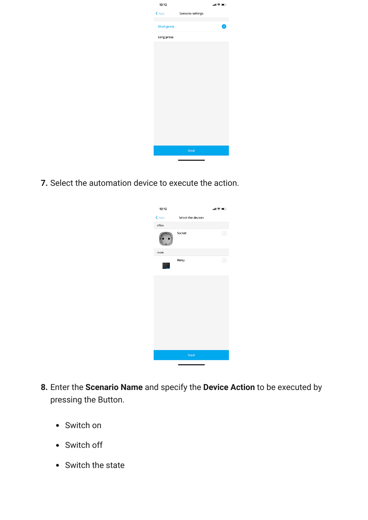| 12:12              |                          | …!全■♪ |
|--------------------|--------------------------|-------|
| $\leq$ Back        | <b>Scenario settings</b> |       |
| <b>Short press</b> |                          |       |
| Long press         |                          |       |
|                    |                          |       |
|                    |                          |       |
|                    |                          |       |
|                    |                          |       |
|                    |                          |       |
|                    |                          |       |
|                    |                          |       |
|                    |                          |       |
|                    |                          |       |
|                    |                          |       |
|                    |                          |       |
|                    | <b>Next</b>              |       |
|                    |                          |       |

**7.** Select the automation device to execute the action.



- **8.** Enter the **Scenario Name** and specify the **Device Action** to be executed by pressing the Button.
	- Switch on
	- Switch off
	- Switch the state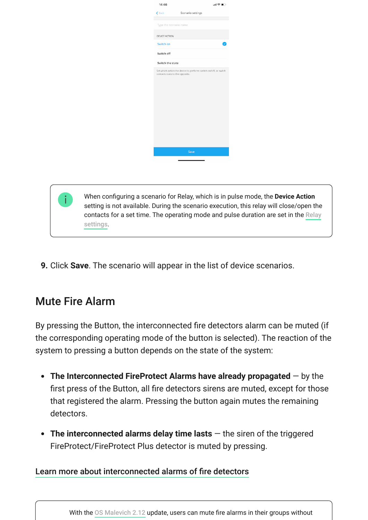| 14:46                           | 山参町                                                              |
|---------------------------------|------------------------------------------------------------------|
| $\zeta$ Back                    | Scenario settings                                                |
| Type the scenario name          |                                                                  |
| DEVICE ACTION                   |                                                                  |
| Switch on                       |                                                                  |
| Switch off                      |                                                                  |
| Switch the state                |                                                                  |
| contacts state to the opposite. | Set which action the device to perform: switch on/off, or switch |
|                                 | Save                                                             |
|                                 |                                                                  |
|                                 |                                                                  |
|                                 |                                                                  |

de, the **Device Action** setting is not available. During the scenario execution, this relay will close/open the [contacts for a set time. The operating mode and pulse duration are set in the](https://support.ajax.systems/en/manuals/relay/)  Relay . settings

**9.** Click **Save**. The scenario will appear in the list of device scenarios.

# <span id="page-10-0"></span>Mute Fire Alarm

By pressing the Button, the interconnected fire detectors alarm can be muted (if the corresponding operating mode of the button is selected). The reaction of the system to pressing a button depends on the state of the system:

- **The Interconnected FireProtect Alarms have already propagated** by the first press of the Button, all fire detectors sirens are muted, except for those that registered the alarm. Pressing the button again mutes the remaining detectors.
- **The interconnected alarms delay time lasts** the siren of the triggered FireProtect/FireProtect Plus detector is muted by pressing.

#### [Learn more about interconnected alarms of fire detectors](https://support.ajax.systems/en/what-is-interconnected-fire-alarms/)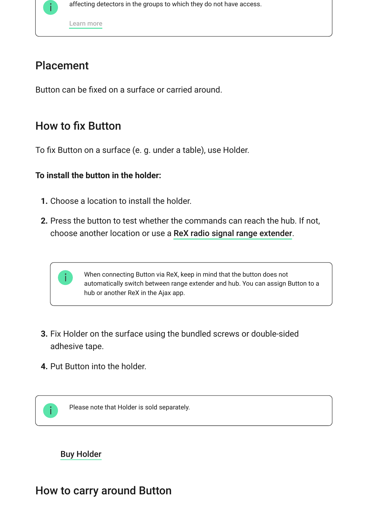

[Learn more](https://support.ajax.systems/en/residential-fire-alarms/)

### Placement

Button can be fixed on a surface or carried around.

### How to fix Button

To fix Button on a surface (e. g. under a table), use Holder.

#### **To install the button in the holder:**

- **1.** Choose a location to install the holder.
- **2.** Press the button to test whether the commands can reach the hub. If not, choose another location or use a ReX radio signal range extender[.](https://ajax.systems/products/rex/)



When connecting Button via ReX, keep in mind that the button does not automatically switch between range extender and hub. You can assign Button to a hub or another ReX in the Ajax app.

- **3.** Fix Holder on the surface using the bundled screws or double-sided adhesive tape.
- **4.** Put Button into the holder.



Please note that Holder is sold separately.

#### [Buy Holder](https://ajax.systems/products/holder/)

### How to carry around Button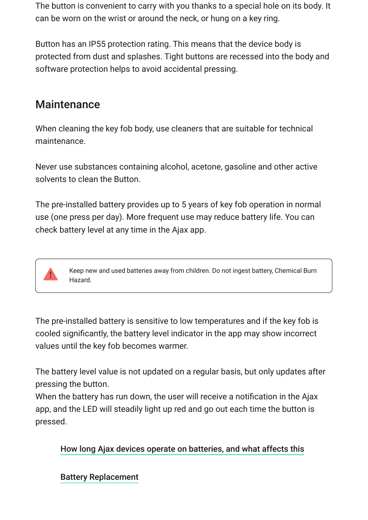The button is convenient to carry with you thanks to a special hole on its body. It can be worn on the wrist or around the neck, or hung on a key ring.

Button has an IP55 protection rating. This means that the device body is protected from dust and splashes. Tight buttons are recessed into the body and software protection helps to avoid accidental pressing.

### **Maintenance**

When cleaning the key fob body, use cleaners that are suitable for technical maintenance.

Never use substances containing alcohol, acetone, gasoline and other active solvents to clean the Button.

The pre-installed battery provides up to 5 years of key fob operation in normal use (one press per day). More frequent use may reduce battery life. You can check battery level at any time in the Ajax app.



Keep new and used batteries away from children. Do not ingest battery, Chemical Burn Hazard.

The pre-installed battery is sensitive to low temperatures and if the key fob is cooled significantly, the battery level indicator in the app may show incorrect values until the key fob becomes warmer.

The battery level value is not updated on a regular basis, but only updates after pressing the button.

When the battery has run down, the user will receive a notification in the Ajax app, and the LED will steadily light up red and go out each time the button is pressed.

#### [How long Ajax devices operate on batteries, and what affects this](https://support.ajax.systems/en/how-long-operate-from-batteries/)

#### [Battery Replacement](https://support.ajax.systems/en/how-to-replace-batteries-in-button/)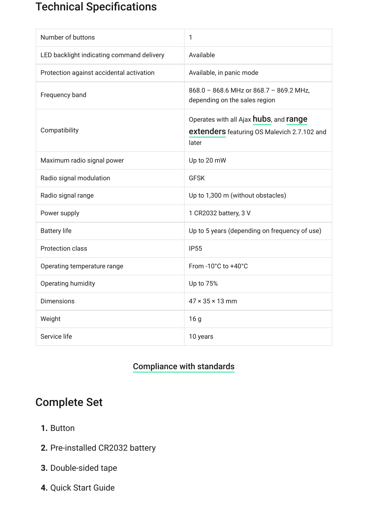# Technical Specifications

| Number of buttons                         | 1                                                                                                             |
|-------------------------------------------|---------------------------------------------------------------------------------------------------------------|
| LED backlight indicating command delivery | Available                                                                                                     |
| Protection against accidental activation  | Available, in panic mode                                                                                      |
| Frequency band                            | 868.0 - 868.6 MHz or 868.7 - 869.2 MHz,<br>depending on the sales region                                      |
| Compatibility                             | Operates with all Ajax <b>hubs</b> , and <b>range</b><br>extenders featuring OS Malevich 2.7.102 and<br>later |
| Maximum radio signal power                | Up to 20 mW                                                                                                   |
| Radio signal modulation                   | <b>GFSK</b>                                                                                                   |
| Radio signal range                        | Up to 1,300 m (without obstacles)                                                                             |
| Power supply                              | 1 CR2032 battery, 3 V                                                                                         |
| <b>Battery life</b>                       | Up to 5 years (depending on frequency of use)                                                                 |
| <b>Protection class</b>                   | <b>IP55</b>                                                                                                   |
| Operating temperature range               | From -10°C to +40°C                                                                                           |
| Operating humidity                        | Up to 75%                                                                                                     |
| <b>Dimensions</b>                         | $47 \times 35 \times 13$ mm                                                                                   |
| Weight                                    | 16 <sub>g</sub>                                                                                               |
| Service life                              | 10 years                                                                                                      |

#### [Compliance with standards](https://ajax.systems/standards/)

### Complete Set

- **1.** Button
- **2.** Pre-installed CR2032 battery
- **3.** Double-sided tape
- **4.** Quick Start Guide